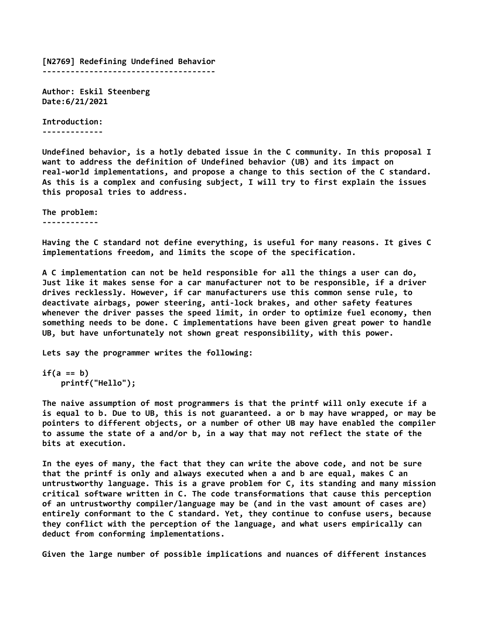[N2769] Redefining Undefined Behavior -------------------------------------

Author: Eskil Steenberg Date:6/21/2021

Introduction: -------------

Undefined behavior, is a hotly debated issue in the C community. In this proposal I want to address the definition of Undefined behavior (UB) and its impact on real-world implementations, and propose a change to this section of the C standard. As this is a complex and confusing subject, I will try to first explain the issues this proposal tries to address.

The problem: ------------

Having the C standard not define everything, is useful for many reasons. It gives C implementations freedom, and limits the scope of the specification.

A C implementation can not be held responsible for all the things a user can do, Just like it makes sense for a car manufacturer not to be responsible, if a driver drives recklessly. However, if car manufacturers use this common sense rule, to deactivate airbags, power steering, anti-lock brakes, and other safety features whenever the driver passes the speed limit, in order to optimize fuel economy, then something needs to be done. C implementations have been given great power to handle UB, but have unfortunately not shown great responsibility, with this power.

Lets say the programmer writes the following:

```
if(a == b) printf("Hello");
```
The naive assumption of most programmers is that the printf will only execute if a is equal to b. Due to UB, this is not guaranteed. a or b may have wrapped, or may be pointers to different objects, or a number of other UB may have enabled the compiler to assume the state of a and/or b, in a way that may not reflect the state of the bits at execution.

In the eyes of many, the fact that they can write the above code, and not be sure that the printf is only and always executed when a and b are equal, makes C an untrustworthy language. This is a grave problem for C, its standing and many mission critical software written in C. The code transformations that cause this perception of an untrustworthy compiler/language may be (and in the vast amount of cases are) entirely conformant to the C standard. Yet, they continue to confuse users, because they conflict with the perception of the language, and what users empirically can deduct from conforming implementations.

Given the large number of possible implications and nuances of different instances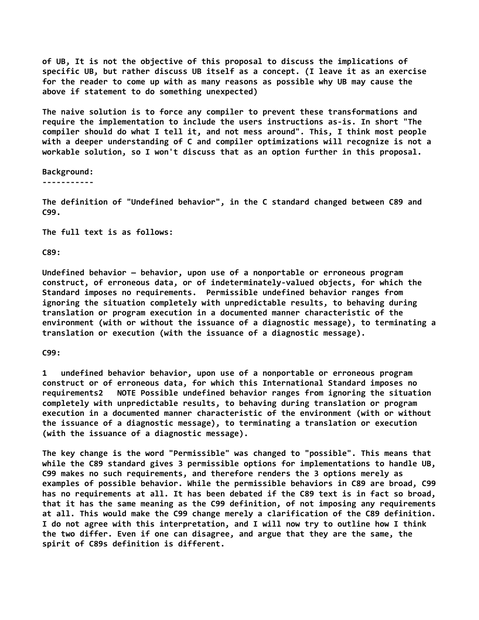of UB, It is not the objective of this proposal to discuss the implications of specific UB, but rather discuss UB itself as a concept. (I leave it as an exercise for the reader to come up with as many reasons as possible why UB may cause the above if statement to do something unexpected)

The naive solution is to force any compiler to prevent these transformations and require the implementation to include the users instructions as-is. In short "The compiler should do what I tell it, and not mess around". This, I think most people with a deeper understanding of C and compiler optimizations will recognize is not a workable solution, so I won't discuss that as an option further in this proposal.

Background: -----------

The definition of "Undefined behavior", in the C standard changed between C89 and C99.

The full text is as follows:

C89:

Undefined behavior — behavior, upon use of a nonportable or erroneous program construct, of erroneous data, or of indeterminately-valued objects, for which the Standard imposes no requirements. Permissible undefined behavior ranges from ignoring the situation completely with unpredictable results, to behaving during translation or program execution in a documented manner characteristic of the environment (with or without the issuance of a diagnostic message), to terminating a translation or execution (with the issuance of a diagnostic message).

C99:

1 undefined behavior behavior, upon use of a nonportable or erroneous program construct or of erroneous data, for which this International Standard imposes no requirements2 NOTE Possible undefined behavior ranges from ignoring the situation completely with unpredictable results, to behaving during translation or program execution in a documented manner characteristic of the environment (with or without the issuance of a diagnostic message), to terminating a translation or execution (with the issuance of a diagnostic message).

The key change is the word "Permissible" was changed to "possible". This means that while the C89 standard gives 3 permissible options for implementations to handle UB, C99 makes no such requirements, and therefore renders the 3 options merely as examples of possible behavior. While the permissible behaviors in C89 are broad, C99 has no requirements at all. It has been debated if the C89 text is in fact so broad, that it has the same meaning as the C99 definition, of not imposing any requirements at all. This would make the C99 change merely a clarification of the C89 definition. I do not agree with this interpretation, and I will now try to outline how I think the two differ. Even if one can disagree, and argue that they are the same, the spirit of C89s definition is different.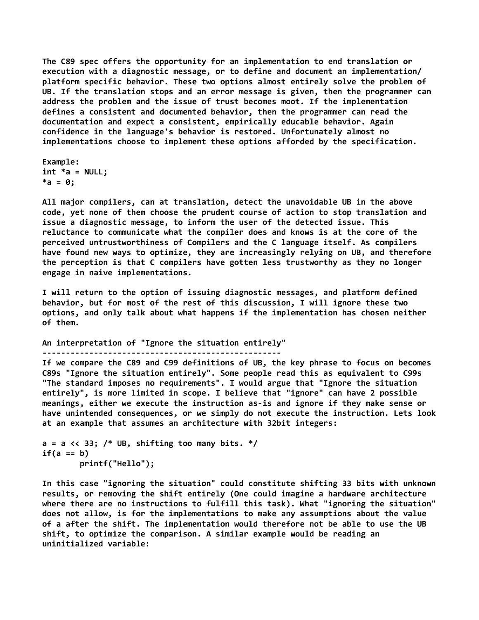The C89 spec offers the opportunity for an implementation to end translation or execution with a diagnostic message, or to define and document an implementation/ platform specific behavior. These two options almost entirely solve the problem of UB. If the translation stops and an error message is given, then the programmer can address the problem and the issue of trust becomes moot. If the implementation defines a consistent and documented behavior, then the programmer can read the documentation and expect a consistent, empirically educable behavior. Again confidence in the language's behavior is restored. Unfortunately almost no implementations choose to implement these options afforded by the specification.

Example:  $int *a = NULL;$  $*a = 0;$ 

All major compilers, can at translation, detect the unavoidable UB in the above code, yet none of them choose the prudent course of action to stop translation and issue a diagnostic message, to inform the user of the detected issue. This reluctance to communicate what the compiler does and knows is at the core of the perceived untrustworthiness of Compilers and the C language itself. As compilers have found new ways to optimize, they are increasingly relying on UB, and therefore the perception is that C compilers have gotten less trustworthy as they no longer engage in naive implementations.

I will return to the option of issuing diagnostic messages, and platform defined behavior, but for most of the rest of this discussion, I will ignore these two options, and only talk about what happens if the implementation has chosen neither of them.

An interpretation of "Ignore the situation entirely" ---------------------------------------------------

If we compare the C89 and C99 definitions of UB, the key phrase to focus on becomes C89s "Ignore the situation entirely". Some people read this as equivalent to C99s "The standard imposes no requirements". I would argue that "Ignore the situation entirely", is more limited in scope. I believe that "ignore" can have 2 possible meanings, either we execute the instruction as-is and ignore if they make sense or have unintended consequences, or we simply do not execute the instruction. Lets look at an example that assumes an architecture with 32bit integers:

 $a = a \ll 33$ ; /\* UB, shifting too many bits. \*/  $if(a == b)$ printf("Hello");

In this case "ignoring the situation" could constitute shifting 33 bits with unknown results, or removing the shift entirely (One could imagine a hardware architecture where there are no instructions to fulfill this task). What "ignoring the situation" does not allow, is for the implementations to make any assumptions about the value of a after the shift. The implementation would therefore not be able to use the UB shift, to optimize the comparison. A similar example would be reading an uninitialized variable: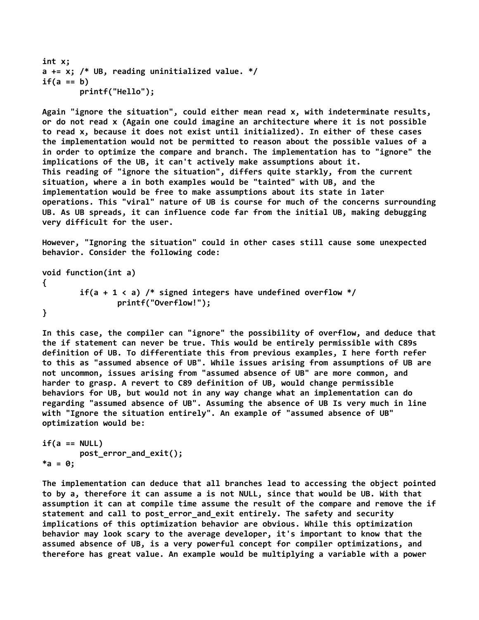```
int x;
a += x; /* UB, reading uninitialized value. */if(a == b) printf("Hello");
```
Again "ignore the situation", could either mean read x, with indeterminate results, or do not read x (Again one could imagine an architecture where it is not possible to read x, because it does not exist until initialized). In either of these cases the implementation would not be permitted to reason about the possible values of a in order to optimize the compare and branch. The implementation has to "ignore" the implications of the UB, it can't actively make assumptions about it. This reading of "ignore the situation", differs quite starkly, from the current situation, where a in both examples would be "tainted" with UB, and the implementation would be free to make assumptions about its state in later operations. This "viral" nature of UB is course for much of the concerns surrounding UB. As UB spreads, it can influence code far from the initial UB, making debugging very difficult for the user.

However, "Ignoring the situation" could in other cases still cause some unexpected behavior. Consider the following code:

void function(int a) { if(a + 1 < a) /\* signed integers have undefined overflow \*/ printf("Overflow!"); }

In this case, the compiler can "ignore" the possibility of overflow, and deduce that the if statement can never be true. This would be entirely permissible with C89s definition of UB. To differentiate this from previous examples, I here forth refer to this as "assumed absence of UB". While issues arising from assumptions of UB are not uncommon, issues arising from "assumed absence of UB" are more common, and harder to grasp. A revert to C89 definition of UB, would change permissible behaviors for UB, but would not in any way change what an implementation can do regarding "assumed absence of UB". Assuming the absence of UB Is very much in line with "Ignore the situation entirely". An example of "assumed absence of UB" optimization would be:

```
if(a == NULL) post_error_and_exit();
*a = 0;
```
The implementation can deduce that all branches lead to accessing the object pointed to by a, therefore it can assume a is not NULL, since that would be UB. With that assumption it can at compile time assume the result of the compare and remove the if statement and call to post error and exit entirely. The safety and security implications of this optimization behavior are obvious. While this optimization behavior may look scary to the average developer, it's important to know that the assumed absence of UB, is a very powerful concept for compiler optimizations, and therefore has great value. An example would be multiplying a variable with a power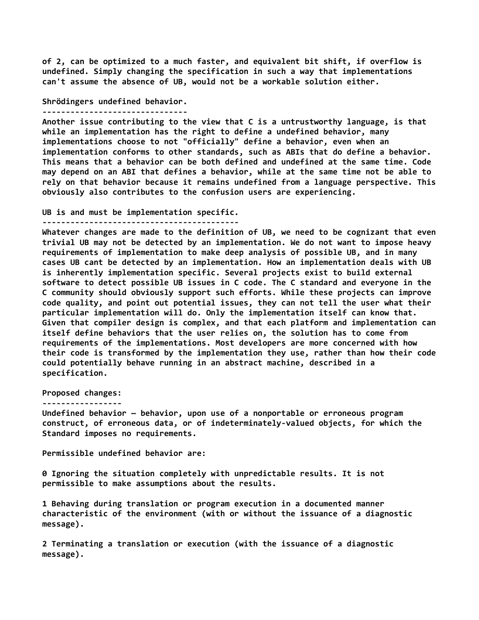of 2, can be optimized to a much faster, and equivalent bit shift, if overflow is undefined. Simply changing the specification in such a way that implementations can't assume the absence of UB, would not be a workable solution either.

Shrödingers undefined behavior.

-------------------------------

Another issue contributing to the view that C is a untrustworthy language, is that while an implementation has the right to define a undefined behavior, many implementations choose to not "officially" define a behavior, even when an implementation conforms to other standards, such as ABIs that do define a behavior. This means that a behavior can be both defined and undefined at the same time. Code may depend on an ABI that defines a behavior, while at the same time not be able to rely on that behavior because it remains undefined from a language perspective. This obviously also contributes to the confusion users are experiencing.

UB is and must be implementation specific.

------------------------------------------

Whatever changes are made to the definition of UB, we need to be cognizant that even trivial UB may not be detected by an implementation. We do not want to impose heavy requirements of implementation to make deep analysis of possible UB, and in many cases UB cant be detected by an implementation. How an implementation deals with UB is inherently implementation specific. Several projects exist to build external software to detect possible UB issues in C code. The C standard and everyone in the C community should obviously support such efforts. While these projects can improve code quality, and point out potential issues, they can not tell the user what their particular implementation will do. Only the implementation itself can know that. Given that compiler design is complex, and that each platform and implementation can itself define behaviors that the user relies on, the solution has to come from requirements of the implementations. Most developers are more concerned with how their code is transformed by the implementation they use, rather than how their code could potentially behave running in an abstract machine, described in a specification.

Proposed changes:

## -----------------

Undefined behavior — behavior, upon use of a nonportable or erroneous program construct, of erroneous data, or of indeterminately-valued objects, for which the Standard imposes no requirements.

Permissible undefined behavior are:

0 Ignoring the situation completely with unpredictable results. It is not permissible to make assumptions about the results.

1 Behaving during translation or program execution in a documented manner characteristic of the environment (with or without the issuance of a diagnostic message).

2 Terminating a translation or execution (with the issuance of a diagnostic message).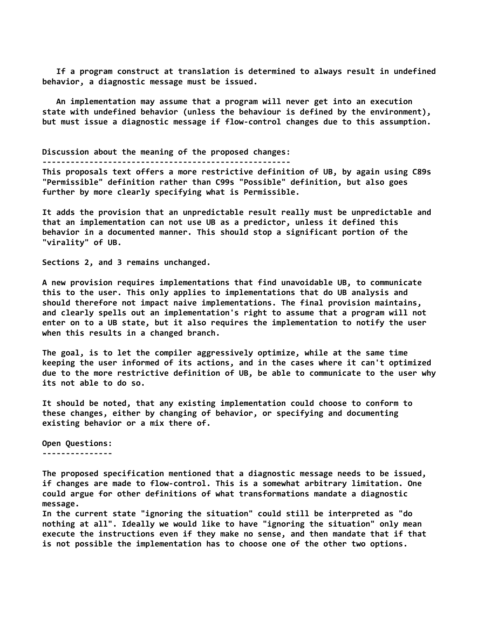If a program construct at translation is determined to always result in undefined behavior, a diagnostic message must be issued.

 An implementation may assume that a program will never get into an execution state with undefined behavior (unless the behaviour is defined by the environment), but must issue a diagnostic message if flow-control changes due to this assumption.

Discussion about the meaning of the proposed changes:

-----------------------------------------------------

This proposals text offers a more restrictive definition of UB, by again using C89s "Permissible" definition rather than C99s "Possible" definition, but also goes further by more clearly specifying what is Permissible.

It adds the provision that an unpredictable result really must be unpredictable and that an implementation can not use UB as a predictor, unless it defined this behavior in a documented manner. This should stop a significant portion of the "virality" of UB.

Sections 2, and 3 remains unchanged.

A new provision requires implementations that find unavoidable UB, to communicate this to the user. This only applies to implementations that do UB analysis and should therefore not impact naive implementations. The final provision maintains, and clearly spells out an implementation's right to assume that a program will not enter on to a UB state, but it also requires the implementation to notify the user when this results in a changed branch.

The goal, is to let the compiler aggressively optimize, while at the same time keeping the user informed of its actions, and in the cases where it can't optimized due to the more restrictive definition of UB, be able to communicate to the user why its not able to do so.

It should be noted, that any existing implementation could choose to conform to these changes, either by changing of behavior, or specifying and documenting existing behavior or a mix there of.

Open Questions: ---------------

The proposed specification mentioned that a diagnostic message needs to be issued, if changes are made to flow-control. This is a somewhat arbitrary limitation. One could argue for other definitions of what transformations mandate a diagnostic message.

In the current state "ignoring the situation" could still be interpreted as "do nothing at all". Ideally we would like to have "ignoring the situation" only mean execute the instructions even if they make no sense, and then mandate that if that is not possible the implementation has to choose one of the other two options.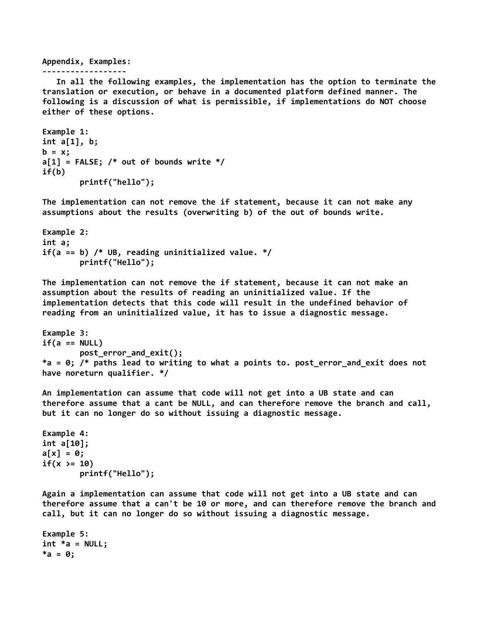## Appendix, Examples:

```
------------------
```
 In all the following examples, the implementation has the option to terminate the translation or execution, or behave in a documented platform defined manner. The following is a discussion of what is permissible, if implementations do NOT choose either of these options.

```
Example 1:
int a[1], b;
b = x;a[1] = FALSE; /* out of bounds write */
if(b) printf("hello");
```
The implementation can not remove the if statement, because it can not make any assumptions about the results (overwriting b) of the out of bounds write.

```
Example 2:
int a;
if(a == b) /* UB, reading uninitialized value. */
         printf("Hello");
```
The implementation can not remove the if statement, because it can not make an assumption about the results of reading an uninitialized value. If the implementation detects that this code will result in the undefined behavior of reading from an uninitialized value, it has to issue a diagnostic message.

```
Example 3:
if(a == NULL) post_error_and_exit();
*a = 0; /* paths lead to writing to what a points to. post_error_and_exit does not 
have noreturn qualifier. */
```
An implementation can assume that code will not get into a UB state and can therefore assume that a cant be NULL, and can therefore remove the branch and call, but it can no longer do so without issuing a diagnostic message.

```
Example 4:
int a[10];
a[x] = 0;if(x >= 10)
         printf("Hello");
```
Again a implementation can assume that code will not get into a UB state and can therefore assume that a can't be 10 or more, and can therefore remove the branch and call, but it can no longer do so without issuing a diagnostic message.

```
Example 5:
int *a = NULL;*a = 0;
```